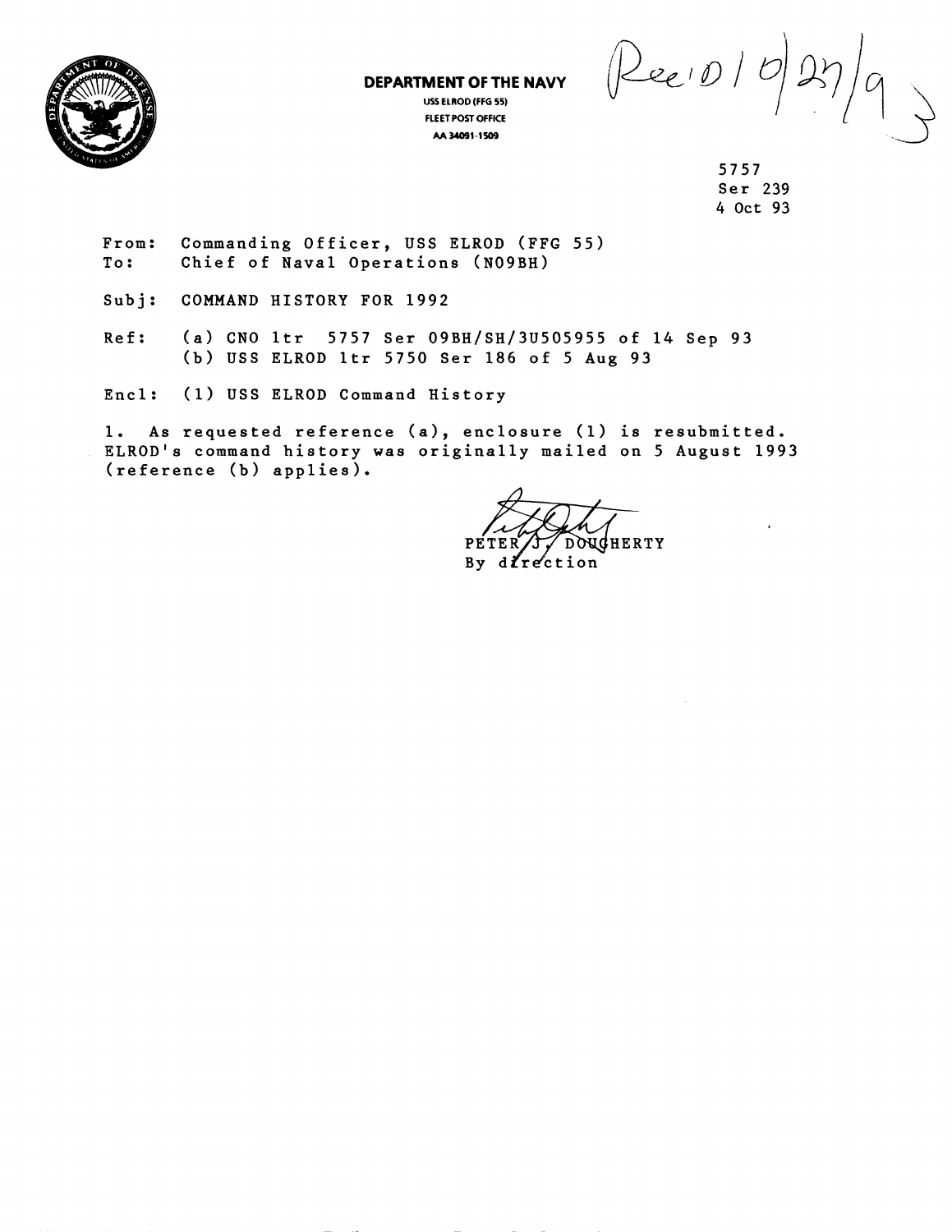

**DEPARTMENT OF THE NAVY USS ELROD (FFG 55) FLEETPOST OFFICE**  AA 34091-1509

 $\rho_{ee(D)}$ 

5757 Ser 239 4 Oct 93

From: Commanding Officer, USS ELROD **(FFG** 55) To: Chief of Naval Operations (NO9BH)

Subj: COMMAND HISTORY FOR 1992

Ref: (a) CNO 1tr 5757 Ser 09BH/SH/3U505955 of 14 Sep 93 (b) USS ELROD ltr 5750 Ser **186** of 5 Aug 93

Encl: (1) USS ELROD Command History

1. As requested reference (a), enclosure (1) is resubmitted. ELROD's command history was originally mailed on 5 August 1993 (reference (b) applies).

DOUGHERTY PETER

By  $d$ *frection*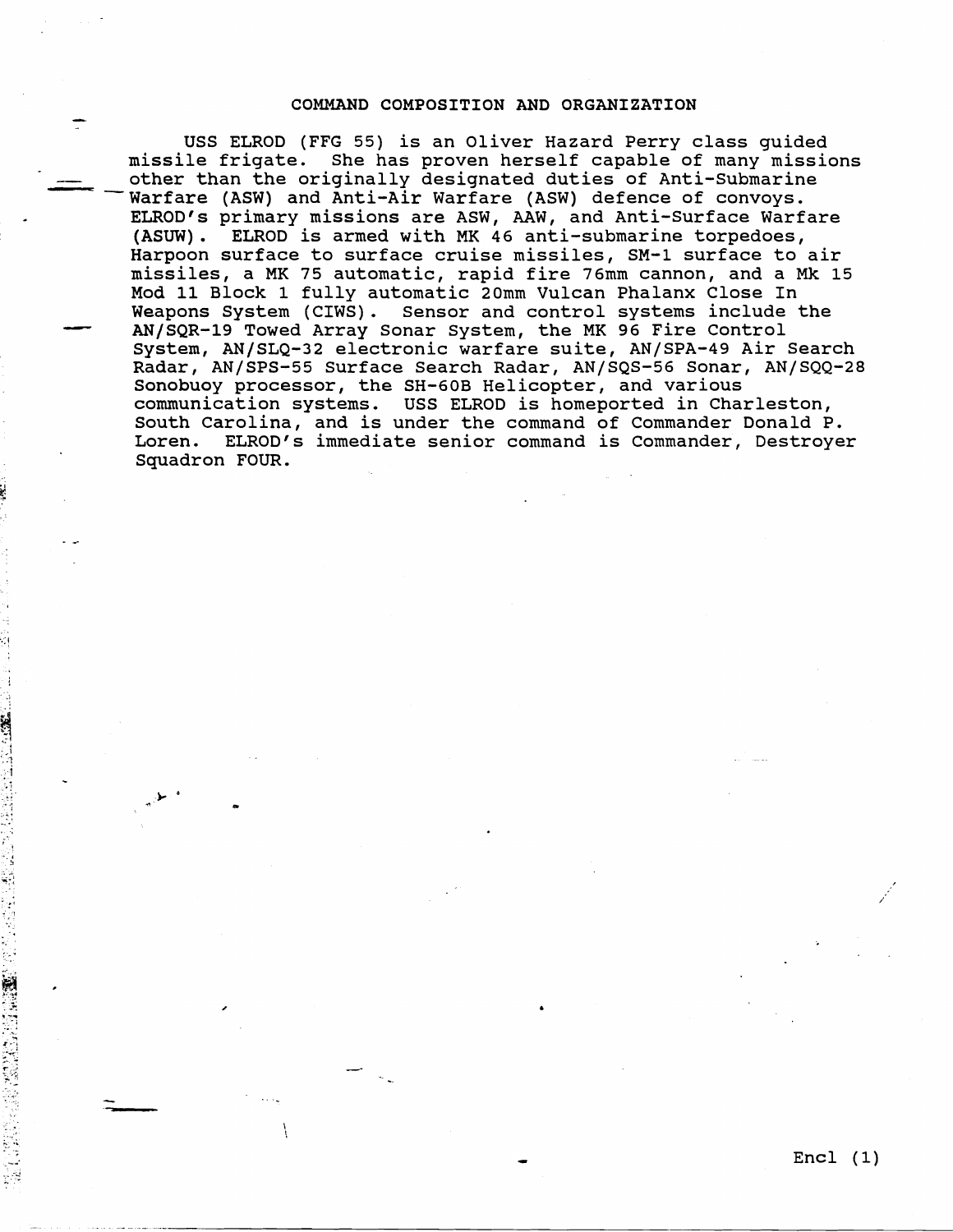## **COMMAND COMPOSITION AND ORGANIZATION**

-

-

☆ 最終的に対応しますから要求になっているのでしょう。

USS ELROD (FFG 55) is an Oliver Hazard Perry class guided missile frigate. She has proven herself capable of many missions USS ELROD (FFG 55) is an Oliver Hazard Perry class guided<br>missile frigate. She has proven herself capable of many missi<br>other than the originally designated duties of Anti-Submarine<br>Warfare (ASW) and Anti-Air Warfare (ASW) Warfare (ASW) and Anti-Air Warfare (ASW) defence of convoys. ELROD'S primary missions are ASW, AAW, and Anti-Surface Warfare **(ASUW).** ELROD is armed with **MK** 46 anti-submarine torpedoes, Harpoon surface to surface cruise missiles, SM-1 surface to air<br>
missiles, a MK 75 automatic, rapid fire 76mm cannon, and a Mk 15<br>
Mod 11 Block 1 fully automatic 20mm Vulcan Phalanx Close In<br>
Weapons System (CIWS). Sensor missiles, a **MK** 75 automatic, rapid fire 76mm cannon, and a *Mk* 15 Mod 11 Block 1 fully automatic 20mm Vulcan Phalanx Close In<br>Weapons System (CIWS). Sensor and control systems include the System, AN/SLQ-32 electronic warfare suite, AN/SPA-49 Air Search Radar, AN/SPS-55 Surface Search Radar, AN/SQS-56 Sonar, AN/SQQ-28 Sonobuoy processor, the SH-60B Helicopter, and various communication systems. USS ELROD is homeported in Charleston, South Carolina, and is under the command of Commander Donald P. Loren. ELROD'S immediate senior command is Commander, Destroyer Squadron FOUR.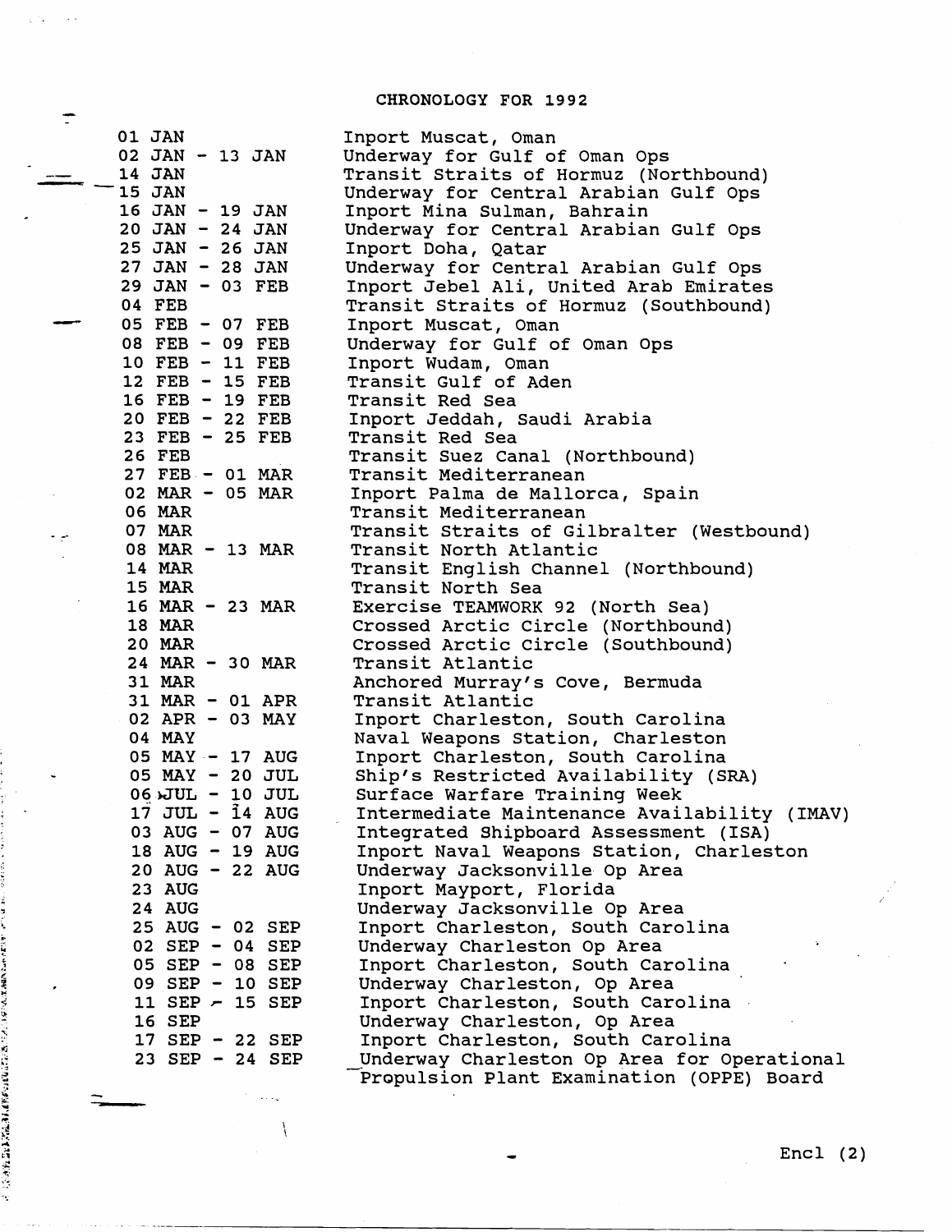## **CHRONOLOGY FOR 1992**

 $\sim$   $\sim$   $\sim$  $\chi \sim 1$ 

 $\mathbb{Z}$ 

 $\equiv$ 

医鼻下颌 医结肠切除术

ساطة القارات المحمول

٠.,

 $\overline{\mathcal{L}}$ 

| 01 JAN                       | Inport Muscat, Oman                          |
|------------------------------|----------------------------------------------|
| 02 JAN - 13 JAN              | Underway for Gulf of Oman Ops                |
| 14 JAN                       | Transit Straits of Hormuz (Northbound)       |
| 15 JAN                       | Underway for Central Arabian Gulf Ops        |
| 16 JAN - 19 JAN              | Inport Mina Sulman, Bahrain                  |
| $20$ JAN - 24 JAN            | Underway for Central Arabian Gulf Ops        |
| 25 JAN - 26 JAN              | Inport Doha, Qatar                           |
| $27$ JAN - 28 JAN            | Underway for Central Arabian Gulf Ops        |
| 29 JAN - 03 FEB              | Inport Jebel Ali, United Arab Emirates       |
| 04 FEB                       | Transit Straits of Hormuz (Southbound)       |
| 05 FEB - 07 FEB              | Inport Muscat, Oman                          |
| 08 FEB - 09 FEB              | Underway for Gulf of Oman Ops                |
| 10 FEB - 11 FEB              | Inport Wudam, Oman                           |
| 12 FEB - 15 FEB              | Transit Gulf of Aden                         |
| 16 FEB - 19 FEB              | Transit Red Sea                              |
| $20$ FEB - 22 FEB            | Inport Jeddah, Saudi Arabia                  |
| 23 FEB - 25 FEB              | Transit Red Sea                              |
| 26 FEB                       | Transit Suez Canal (Northbound)              |
| $27$ FEB - 01 MAR            | Transit Mediterranean                        |
| $02$ MAR - $05$ MAR          | Inport Palma de Mallorca, Spain              |
| 06 MAR                       | Transit Mediterranean                        |
| 07 MAR                       | Transit Straits of Gilbralter (Westbound)    |
| 08 MAR - 13 MAR              | Transit North Atlantic                       |
| <b>14 MAR</b>                | Transit English Channel (Northbound)         |
| <b>15 MAR</b>                | Transit North Sea                            |
| 16 MAR - 23 MAR              | Exercise TEAMWORK 92 (North Sea)             |
| <b>18 MAR</b>                | Crossed Arctic Circle (Northbound)           |
| <b>20 MAR</b>                | Crossed Arctic Circle (Southbound)           |
| 24 MAR - 30 MAR              | Transit Atlantic                             |
| <b>31 MAR</b>                | Anchored Murray's Cove, Bermuda              |
| 31 MAR - 01 APR              | Transit Atlantic                             |
| 02 APR - 03 MAY              | Inport Charleston, South Carolina            |
| 04 MAY                       | Naval Weapons Station, Charleston            |
| 05 MAY - 17 AUG              | Inport Charleston, South Carolina            |
| 05 MAY - 20 JUL              | Ship's Restricted Availability (SRA)         |
| $06$ $\textrm{JUL}$ - 10 JUL | Surface Warfare Training Week                |
| 17 JUL - 14 AUG              | Intermediate Maintenance Availability (IMAV) |
| 03 AUG - 07 AUG              | Integrated Shipboard Assessment (ISA)        |
| 18 AUG - 19 AUG              | Inport Naval Weapons Station, Charleston     |
| 20 AUG - 22 AUG              | Underway Jacksonville Op Area                |
| <b>23 AUG</b>                | Inport Mayport, Florida                      |
| <b>24 AUG</b>                | Underway Jacksonville Op Area                |
| 25 AUG - 02 SEP              | Inport Charleston, South Carolina            |
| 02 SEP - 04 SEP              | Underway Charleston Op Area                  |
| 05 SEP - 08 SEP              | Inport Charleston, South Carolina            |
| 09 SEP - 10 SEP              | Underway Charleston, Op Area                 |
| 11 SEP $-$ 15 SEP            | Inport Charleston, South Carolina            |
| 16 SEP                       | Underway Charleston, Op Area                 |
| 17 SEP - 22 SEP              | Inport Charleston, South Carolina            |
| 23 SEP - 24 SEP              | Underway Charleston Op Area for Operational  |
|                              | Propulsion Plant Examination (OPPE) Board    |

 $Encl (2)$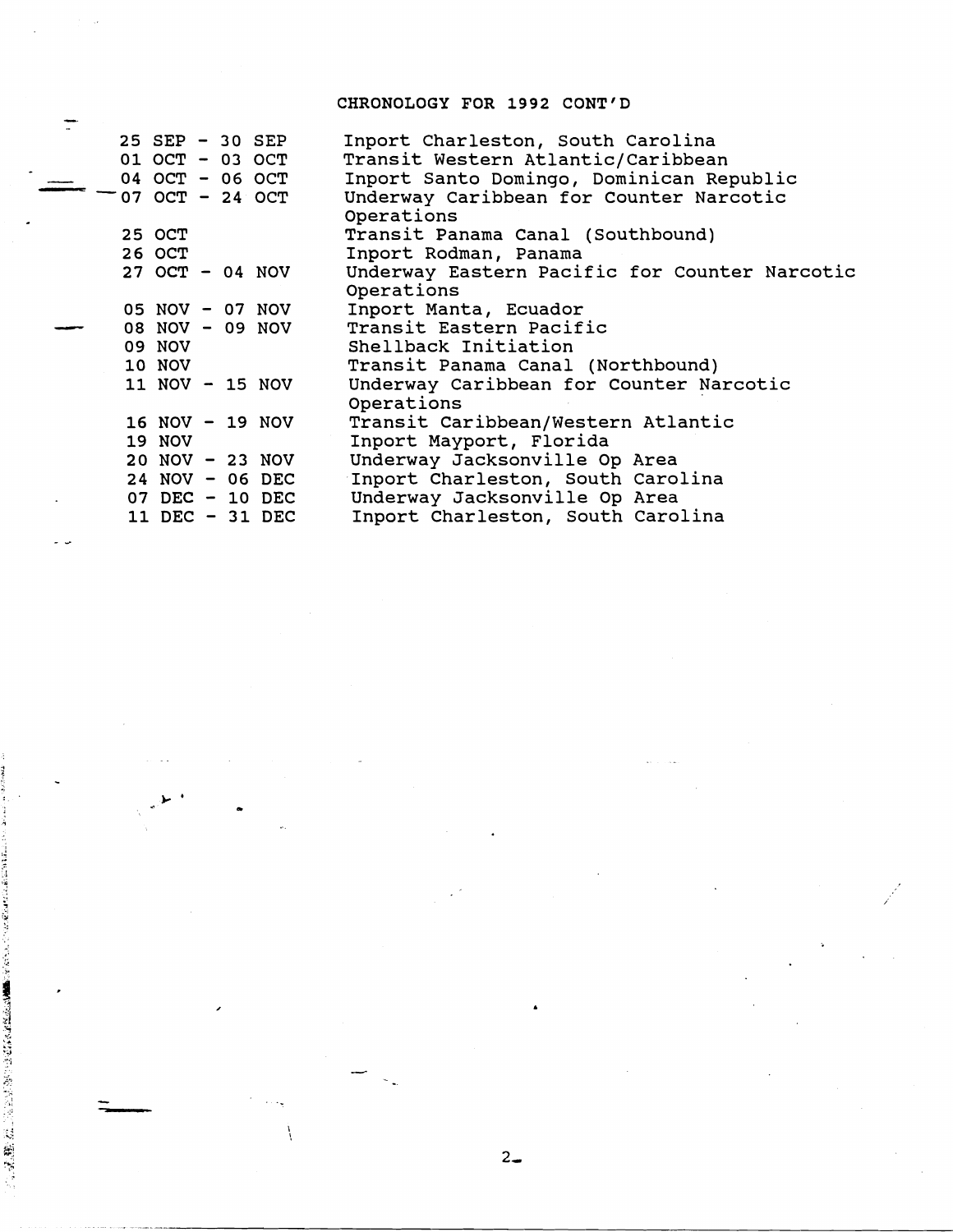## CHRONOLOGY FOR 1992 CONT'D

|                    | CHRONOLOGY FOR 1992 CONT'D                    |
|--------------------|-----------------------------------------------|
|                    |                                               |
| 25 SEP - 30 SEP    | Inport Charleston, South Carolina             |
| 01 OCT - 03 OCT    | Transit Western Atlantic/Caribbean            |
| 04 OCT - 06 OCT    | Inport Santo Domingo, Dominican Republic      |
| 07 OCT - 24 OCT    | Underway Caribbean for Counter Narcotic       |
|                    | Operations                                    |
| 25 OCT             | Transit Panama Canal (Southbound)             |
| 26 OCT             | Inport Rodman, Panama                         |
| $27$ OCT - 04 NOV  | Underway Eastern Pacific for Counter Narcotic |
|                    | Operations                                    |
| 05 NOV - 07 NOV    | Inport Manta, Ecuador                         |
| 08 NOV - 09 NOV    | Transit Eastern Pacific                       |
| <b>09 NOV</b>      | Shellback Initiation                          |
| 10 NOV             | Transit Panama Canal (Northbound)             |
| 11 NOV - 15 NOV    | Underway Caribbean for Counter Narcotic       |
|                    | Operations                                    |
| 16 NOV - 19 NOV    | Transit Caribbean/Western Atlantic            |
| <b>19 NOV</b>      | Inport Mayport, Florida                       |
| $20$ NOV $-23$ NOV | Underway Jacksonville Op Area                 |
| 24 NOV - 06 DEC    | Inport Charleston, South Carolina             |
| 07 DEC - 10 DEC    | Underway Jacksonville Op Area                 |
| 11 DEC - 31 DEC    | Inport Charleston, South Carolina             |

Ì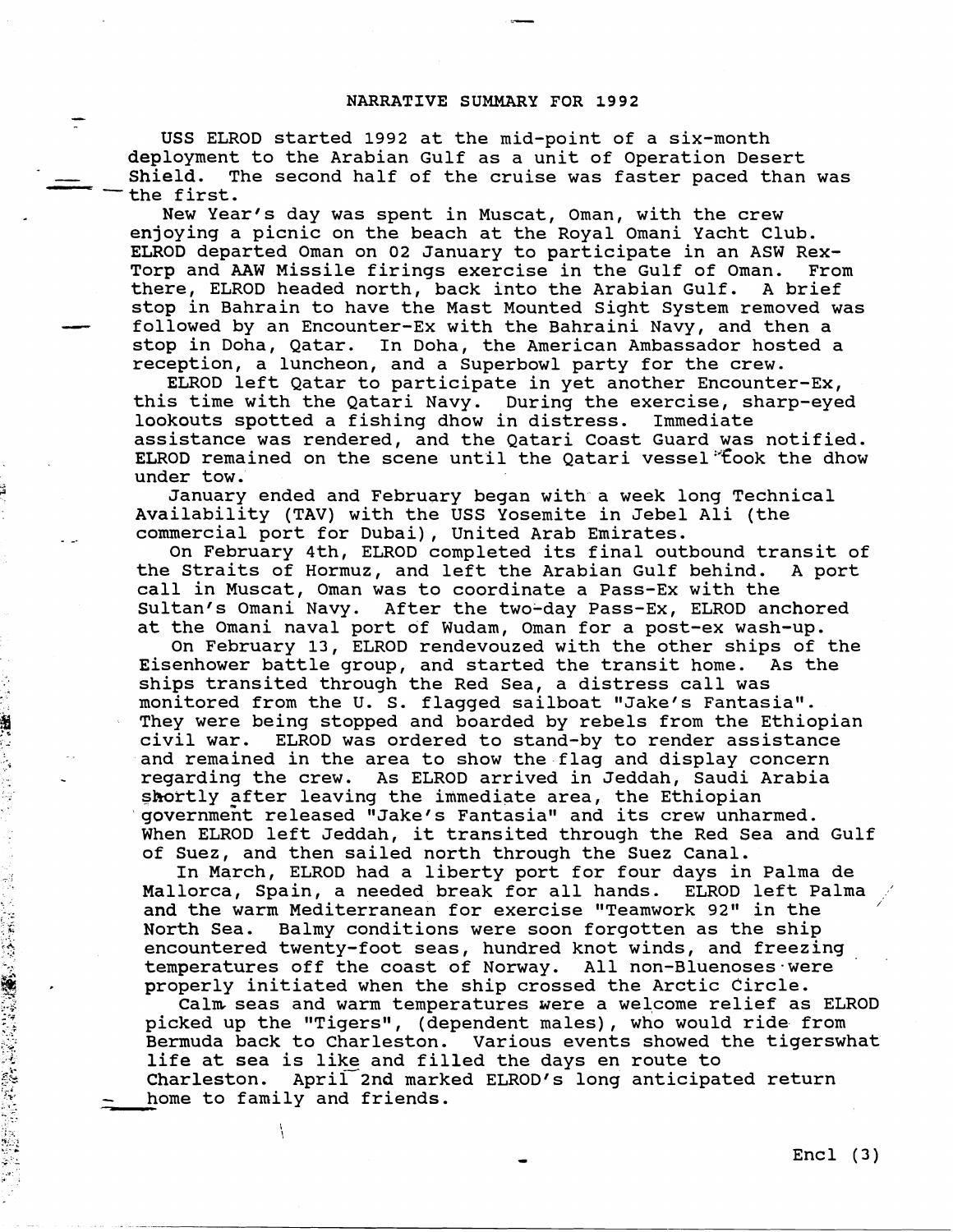## **NARRATIVE SUMMARY FOR 1992**

USS ELROD started 1992 at the mid-point of a six-month deployment to the Arabian Gulf as a unit of Operation Desert<br>
Shield. The second half of the cruise was faster paced than<br>
- the first.<br>
New Year's day was spent in Muscat. Oman, with the crew Shield. The second half of the cruise was faster paced than was the first.

New Year's day was spent in Muscat, Oman, with the crew enjoying a picnic on the beach at the Royal Omani Yacht Club. ELROD departed Oman on 02 January to participate in an ASW Rex-Torp and AAW Missile firings exercise in the Gulf of Oman. From<br>there, ELROD headed north, back into the Arabian Gulf. A brief there, ELROD headed north, back into the Arabian Gulf. stop in Bahrain to have the Mast Mounted Sight System removed was followed by an Encounter-Ex with the Bahraini Navy, and then a stop in Doha, Qatar. In Doha, the American Ambassador hosted a reception, a luncheon, and a Superbowl party for the crew.

ELROD left Qatar to participate in yet another Encounter-Ex, this time with the Qatari Navy. During the exercise, sharp-eyed<br>lookouts spotted a fishing dhow in distress. Immediate lookouts spotted a fishing dhow in distress. assistance was rendered, and the Qatari Coast Guard was notified. ELROD remained on the scene until the Qatari vessel'"fook the dhow under tow.

January ended and February began with a week long Technical Availability (TAV) with the USS Yosemite in Jebel Ali (the commercial port for Dubai), United Arab Emirates.

On February 4th, ELROD completed its final outbound transit of the Straits of Hormuz, and left the Arabian Gulf behind. A port call in Muscat, Oman was to coordinate a Pass-Ex with the Sultan's Omani Navy. After the two-day Pass-Ex, ELROD anchored at the Omani naval port of Wudam, Oman for a post-ex wash-up.

On February 13, ELROD rendevouzed with the other ships of the Eisenhower battle group, and started the transit home. As the ships transited through the Red Sea, a distress call was monitored from the U. S. flagged sailboat "Jake's Fantasia". They were being stopped and boarded by rebels from the Ethiopian civil war. ELROD was ordered to stand-by to render assistance and remained in the area to show the flag and display concern regarding the crew. As ELROD arrived in Jeddah, Saudi Arabia shortly after leaving the immediate area, the Ethiopian government released "Jake's Fantasia" and its crew unharmed. When ELROD left Jeddah, it transited through the Red Sea and Gulf of Suez, and then sailed north through the Suez Canal.

In March, ELROD had a liberty port for four days in Palma de Mallorca, Spain, a needed break for all hands. ELROD left Palma ' and the warm Mediterranean for exercise "Teamwork 92" in the North Sea. Balmy conditions were soon forgotten as the ship encountered twenty-foot seas, hundred knot winds, and freezing temperatures off the coast of Norway. All non-Bluenoses-were properly initiated when the ship crossed the Arctic Circle.

Calm seas and warm temperatures were a welcome relief as ELROD picked up the "Tigers", (dependent males), who would ride from Bermuda back to Charleston. Various events showed the tigerswhat life at sea is like and filled the days en route to Charleston. April 2nd marked ELROD's long anticipated return<br>- home to family and friends. home to family and friends.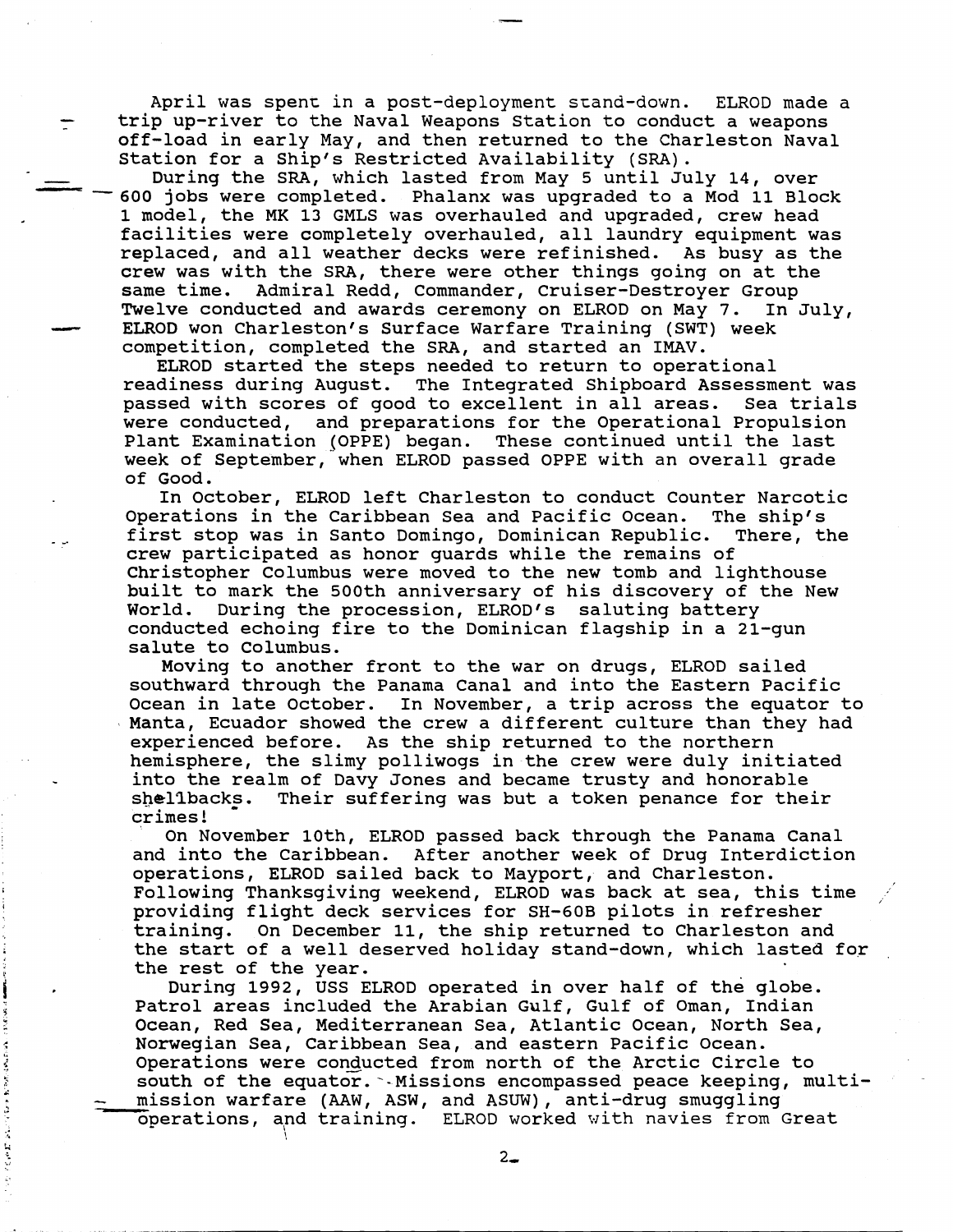April was spenr in a post-deployment scand-down. ELROD made a trip up-river to the Naval Weapons Station to conduct a weapons off-load in early May, and then returned to the Charleston Naval Station for a Ship's Restricted Availability (SRA).

During the SRA, which lasted from May 5 until July 14, over -600 jobs were completed. Phalanx was upgraded to a Mod 11 Block 1 model, the MK 13 GMLS was overhauled and upgraded, crew head facilities were completely overhauled, all laundry equipment was replaced, and all weather decks were refinished. As busy as the crew was with the SRA, there were other things going on at the<br>same time. Admiral Redd, Commander, Cruiser-Destroyer Group Admiral Redd, Commander, Cruiser-Destroyer Group Twelve conducted and awards ceremony on ELROD on May 7. In July, ELROD won Charleston's Surface Warfare Training (SWT) week competition, completed the SRA, and started an **IMAV.** 

ELROD started the steps needed to return to operational readiness during August. The Integrated Shipboard Assessment was passed with scores of good to excellent in all areas. Sea trials were conducted, and preparations for the Operational Propulsion Plant Examination (OPPE) began. These continued until the last week of September, when ELROD passed OPPE with an overall grade of Good.

In October, ELROD left Charleston to conduct Counter Narcotic Operations in the Caribbean Sea and Pacific Ocean. The ship's<br>first stop was in Santo Domingo, Dominican Republic. There, the first stop was in Santo Domingo, Dominican Republic. crew participated as honor guards while the remains of Christopher Columbus were moved to the new tomb and lighthouse built to mark the 500th anniversary of his discovery of the New World. During the procession, ELROD'S saluting battery conducted echoing fire to the Dominican flagship in a 21-gun salute to Columbus.

Moving to another front to the war on drugs, ELROD sailed southward through the Panama Canal and into the Eastern Pacific Ocean in late October. In November, a trip across the equator to Manta, Ecuador showed the crew a different culture than they had experienced before. As the ship returned to the northern hemisphere, the slimy polliwogs in the crew were duly initiated into the realm of Davy Jones and became trusty and honorable shellbacks. Their suffering was but a token penance for their crimes!

On November loth, ELROD passed back through the Panama Canal and into the Caribbean. After another week of Drug Interdiction operations, ELROD sailed back to Mayport, and Charleston. Following Thanksgiving weekend, ELROD was back at sea, this time providing flight deck services for SH-GOB pilots in refresher training. On December 11, the ship returned to Charleston and the start of a well deserved holiday stand-down, which lasted for the rest of the year.

During 1992, USS ELROD operated in over half of the globe. Patrol areas included the Arabian Gulf, Gulf of Oman, Indian Ocean, Red Sea, Mediterranean Sea, Atlantic Ocean, North Sea, Norwegian Sea, Caribbean Sea, and eastern Pacific Ocean. Operations were conducted from north of the Arctic Circle to south of the equator. -Missions encompassed peace keeping, multithe rest of the year.<br>
buring 1992, USS ELROD operated in over half of the glol<br>
Patrol areas included the Arabian Gulf, Gulf of Oman, India<br>
Ocean, Red Sea, Mediterranean Sea, Atlantic Ocean, North SA<br>
Norwegian Sea, Cari operations, apd training. **ELROD** worked with navies from Great ',

e e F